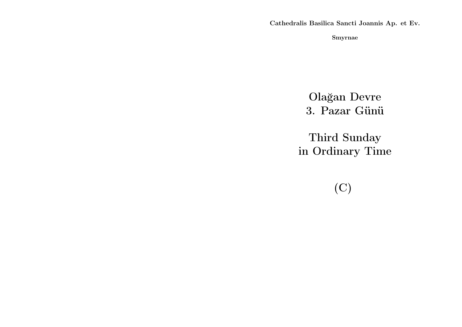Cathedralis Basilica Sancti Joannis Ap. et Ev.

Smyrnae

Olağan Devre 3. Pazar Günü

Third Sunday in Ordinary Time

(C)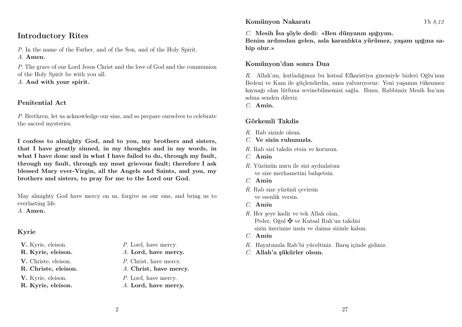# Introductory Rites

P. In the name of the Father, and of the Son, and of the Holy Spirit. A. Amen.

P. The grace of our Lord Jesus Christ and the love of God and the communion of the Holy Spirit be with you all.

A. And with your spirit.

## Penitential Act

P. Brethren, let us acknowledge our sins, and so prepare ourselves to celebrate the sacred mysteries.

I confess to almighty God, and to you, my brothers and sisters, that I have greatly sinned, in my thoughts and in my words, in what I have done and in what I have failed to do, through my fault, through my fault, through my most grievous fault; therefore I ask blessed Mary ever-Virgin, all the Angels and Saints, and you, my brothers and sisters, to pray for me to the Lord our God.

May almighty God have mercy on us, forgive us our sins, and bring us to everlasting life.

A. Amen.

## Kyrie

- V. Kyrie, eleison.  $P.$  Lord, have mercy.
- 
- 
- 

- 
- R. Kyrie, eleison. A. Lord, have mercy.
- V. Christe, eleison. P. Christ, have mercy.
- R. Christe, eleison. A. Christ, have mercy.
- V. Kyrie, eleison.  $P$ . Lord, have mercy.
- R. Kyrie, eleison. A. Lord, have mercy.

## Komünyon Nakaratı Yh 8,12

C. Mesih İsa şöyle dedi: «Ben dünyanın ışığıyım.

Benim ardımdan gelen, asla karanlıkta yürümez, yaşam ışığına sahip olur.»

## Komünyon'dan sonra Dua

R. Allah'ım, kutladığımız bu kutsal Efkaristiya gizemiyle bizleri Oğlu'nun Bedeni ve Kanı ile güçlendirdin, sana yalvarıyoruz: Yeni yaşamın tükenmez kaynağı olan lütfuna sevinebilmemizi sağla. Bunu, Rabbimiz Mesih İsa'nın adına senden dileriz.

C. Amin.

## Görkemli Takdis

- $R$ . Rab sizinle olsun.
- C. Ve sizin ruhunuzla.
- R. Rab sizi takdis etsin ve korusun.
- C. Amin
- R. Yüzünün nuru ile sizi aydınlatsın ve size merhametini bahşetsin.
- C. Amin
- R. Rab size yüzünü çevirsin ve esenlik versin.
- C. Amin
- R. Her şeye kadir ve tek Allah olan, Peder, Oğul  $\maltese$  ve Kutsal Ruh'un takdisi sizin üzerinize insin ve daima sizinle kalsın.
- C. Amin
- R. Hayatınızla Rab'bi yüceltiniz. Barış içinde gidiniz.
- C. Allah'a şükürler olsun.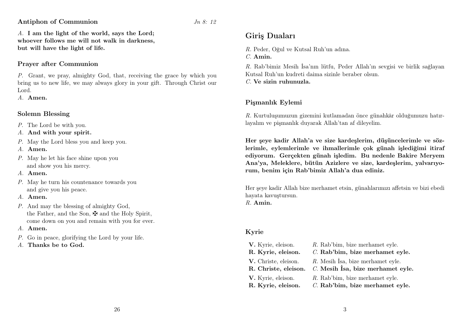#### Antiphon of Communion  $J_n$  8: 12

A. I am the light of the world, says the Lord; whoever follows me will not walk in darkness, but will have the light of life.

#### Prayer after Communion

P. Grant, we pray, almighty God, that, receiving the grace by which you bring us to new life, we may always glory in your gift. Through Christ our Lord.

A. Amen.

#### Solemn Blessing

- P. The Lord be with you.
- A. And with your spirit.
- P. May the Lord bless you and keep you.
- A. Amen.
- P. May he let his face shine upon you and show you his mercy.
- A. Amen.
- P. May he turn his countenance towards you and give you his peace.
- A. Amen.
- P. And may the blessing of almighty God, the Father, and the Son,  $\mathbf{\nabla}$  and the Holy Spirit, come down on you and remain with you for ever.
- A. Amen.
- P. Go in peace, glorifying the Lord by your life.
- A. Thanks be to God.

# Giriş Duaları

R. Peder, Oğul ve Kutsal Ruh'un adına.

C. Amin.

R. Rab'bimiz Mesih İsa'nın lütfu, Peder Allah'ın sevgisi ve birlik sağlayan Kutsal Ruh'un kudreti daima sizinle beraber olsun.

 $C$ . Ve sizin ruhunuzla.

## Pişmanlık Eylemi

R. Kurtuluşumuzun gizemini kutlamadan önce günahkâr olduğumuzu hatırlayalım ve pişmanlık duyarak Allah'tan af dileyelim.

Her şeye kadir Allah'a ve size kardeşlerim, düşüncelerimle ve sözlerimle, eylemlerimle ve ihmallerimle çok günah işlediğimi itiraf ediyorum. Gerçekten günah işledim. Bu nedenle Bakire Meryem Ana'ya, Meleklere, bütün Azizlere ve size, kardeşlerim, yalvarıyorum, benim için Rab'bimiz Allah'a dua ediniz.

Her şeye kadir Allah bize merhamet etsin, günahlarımızı affetsin ve bizi ebedi hayata kavuştursun. R. Amin.

# Kyrie

| V. Kyrie, eleison.   | R. Rab'bim, bize merhamet eyle.     |
|----------------------|-------------------------------------|
| R. Kyrie, eleison.   | C. Rab'bim, bize merhamet eyle.     |
| V. Christe, eleison. | R. Mesih İsa, bize merhamet eyle.   |
| R. Christe, eleison. | $C.$ Mesih Isa, bize merhamet eyle. |
| V. Kyrie, eleison.   | R. Rab'bim, bize merhamet eyle.     |
| R. Kyrie, eleison.   | C. Rab'bim, bize merhamet eyle.     |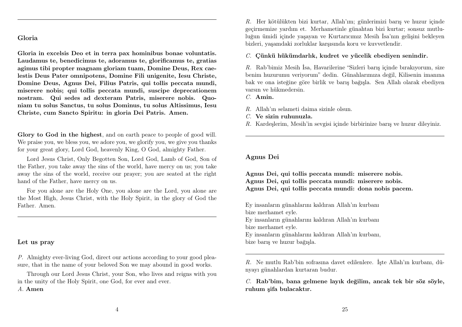#### Gloria

Gloria in excelsis Deo et in terra pax hominibus bonae voluntatis. Laudamus te, benedicimus te, adoramus te, glorificamus te, gratias agimus tibi propter magnam gloriam tuam, Domine Deus, Rex caelestis Deus Pater omnipotens, Domine Fili unigenite, Iesu Christe, Domine Deus, Agnus Dei, Filius Patris, qui tollis peccata mundi, miserere nobis; qui tollis peccata mundi, suscipe deprecationem nostram. Qui sedes ad dexteram Patris, miserere nobis. Quoniam tu solus Sanctus, tu solus Dominus, tu solus Altissimus, Iesu Christe, cum Sancto Spiritu: in gloria Dei Patris. Amen.

Glory to God in the highest, and on earth peace to people of good will. We praise you, we bless you, we adore you, we glorify you, we give you thanks for your great glory, Lord God, heavenly King, O God, almighty Father.

Lord Jesus Christ, Only Begotten Son, Lord God, Lamb of God, Son of the Father, you take away the sins of the world, have mercy on us; you take away the sins of the world, receive our prayer; you are seated at the right hand of the Father, have mercy on us.

For you alone are the Holy One, you alone are the Lord, you alone are the Most High, Jesus Christ, with the Holy Spirit, in the glory of God the Father. Amen.

#### Let us pray

P. Almighty ever-living God, direct our actions according to your good pleasure, that in the name of your beloved Son we may abound in good works.

Through our Lord Jesus Christ, your Son, who lives and reigns with you in the unity of the Holy Spirit, one God, for ever and ever.

#### A. Amen

R. Her kötülükten bizi kurtar, Allah'ım; günlerimizi barış ve huzur içinde geçirmemize yardım et. Merhametinle günahtan bizi kurtar; sonsuz mutluluğun ümidi içinde yaşayan ve Kurtarıcımız Mesih İsa'nın gelişini bekleyen bizleri, yaşamdaki zorluklar karşısında koru ve kuvvetlendir.

C. Çünkü hükümdarlık, kudret ve yücelik ebediyen senindir.

R. Rab'bimiz Mesih İsa, Havarilerine "Sizleri barış içinde bırakıyorum, size benim huzurumu veriyorum" dedin. Günahlarımıza değil, Kilisenin imanına bak ve ona isteğine göre birlik ve barış bağışla. Sen Allah olarak ebediyen varsın ve hükmedersin.

C. Amin.

- R. Allah'ın selameti daima sizinle olsun.
- C. Ve sizin ruhunuzla.
- R. Kardeşlerim, Mesih'in sevgisi içinde birbirinize barış ve huzur dileyiniz.

#### Agnus Dei

Agnus Dei, qui tollis peccata mundi: miserere nobis. Agnus Dei, qui tollis peccata mundi: miserere nobis. Agnus Dei, qui tollis peccata mundi: dona nobis pacem.

Ey insanların günahlarını kaldıran Allah'ın kurbanı bize merhamet eyle.

Ey insanların günahlarını kaldıran Allah'ın kurbanı bize merhamet eyle.

Ey insanların günahlarını kaldıran Allah'ın kurbanı, bize barış ve huzur bağışla.

R. Ne mutlu Rab'bin sofrasına davet edilenlere. İşte Allah'ın kurbanı, dünyayı günahlardan kurtaran budur.

C. Rab'bim, bana gelmene layık değilim, ancak tek bir söz söyle, ruhum şifa bulacaktır.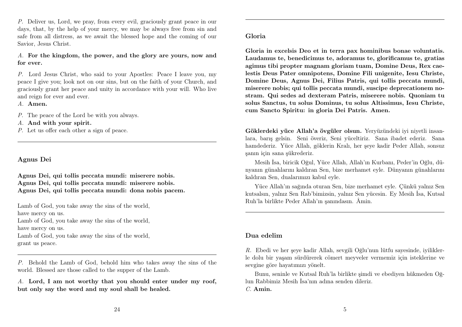P. Deliver us, Lord, we pray, from every evil, graciously grant peace in our days, that, by the help of your mercy, we may be always free from sin and safe from all distress, as we await the blessed hope and the coming of our Savior, Jesus Christ.

A. For the kingdom, the power, and the glory are yours, now and for ever.

P. Lord Jesus Christ, who said to your Apostles: Peace I leave you, my peace I give you; look not on our sins, but on the faith of your Church, and graciously grant her peace and unity in accordance with your will. Who live and reign for ever and ever.

A. Amen.

P. The peace of the Lord be with you always.

A. And with your spirit.

P. Let us offer each other a sign of peace.

#### Agnus Dei

Agnus Dei, qui tollis peccata mundi: miserere nobis. Agnus Dei, qui tollis peccata mundi: miserere nobis. Agnus Dei, qui tollis peccata mundi: dona nobis pacem.

Lamb of God, you take away the sins of the world, have mercy on us. Lamb of God, you take away the sins of the world, have mercy on us. Lamb of God, you take away the sins of the world, grant us peace.

P. Behold the Lamb of God, behold him who takes away the sins of the world. Blessed are those called to the supper of the Lamb.

A. Lord, I am not worthy that you should enter under my roof, but only say the word and my soul shall be healed.

Gloria in excelsis Deo et in terra pax hominibus bonae voluntatis. Laudamus te, benedicimus te, adoramus te, glorificamus te, gratias agimus tibi propter magnam gloriam tuam, Domine Deus, Rex caelestis Deus Pater omnipotens, Domine Fili unigenite, Iesu Christe, Domine Deus, Agnus Dei, Filius Patris, qui tollis peccata mundi, miserere nobis; qui tollis peccata mundi, suscipe deprecationem nostram. Qui sedes ad dexteram Patris, miserere nobis. Quoniam tu solus Sanctus, tu solus Dominus, tu solus Altissimus, Iesu Christe, cum Sancto Spiritu: in gloria Dei Patris. Amen.

Göklerdeki yüce Allah'a övgüler olsun. Yeryüzündeki iyi niyetli insanlara, barış gelsin. Seni överiz, Seni yüceltiriz. Sana ibadet ederiz. Sana hamdederiz. Yüce Allah, göklerin Kralı, her şeye kadir Peder Allah, sonsuz şanın için sana şükrederiz.

Mesih İsa, biricik Oğul, Yüce Allah, Allah'ın Kurbanı, Peder'in Oğlu, dünyanın günahlarını kaldıran Sen, bize merhamet eyle. Dünyanın günahlarını kaldıran Sen, dualarımızı kabul eyle.

Yüce Allah'ın sağında oturan Sen, bize merhamet eyle. Çünkü yalnız Sen kutsalsın, yalnız Sen Rab'bimizsin, yalnız Sen yücesin. Ey Mesih İsa, Kutsal Ruh'la birlikte Peder Allah'ın şanındasın. Âmin.

#### Dua edelim

R. Ebedi ve her şeye kadir Allah, sevgili Oğlu'nun lütfu sayesinde, iyiliklerle dolu bir yaşam sürdürerek cömert meyveler vermemiz için isteklerine ve sevgine göre hayatımızı yönelt.

Bunu, seninle ve Kutsal Ruh'la birlikte şimdi ve ebediyen hükmeden Oğlun Rabbimiz Mesih İsa'nın adına senden dileriz. C. Amin.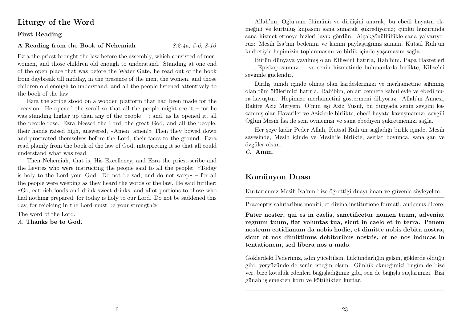## Liturgy of the Word

#### First Reading

#### A Reading from the Book of Nehemiah  $8:2-4a, 5-6, 8-10$

Ezra the priest brought the law before the assembly, which consisted of men, women, and those children old enough to understand. Standing at one end of the open place that was before the Water Gate, he read out of the book from daybreak till midday, in the presence of the men, the women, and those children old enough to understand; and all the people listened attentively to the book of the law.

Ezra the scribe stood on a wooden platform that had been made for the occasion. He opened the scroll so that all the people might see it – for he was standing higher up than any of the people – ; and, as he opened it, all the people rose. Ezra blessed the Lord, the great God, and all the people, their hands raised high, answered, «Amen, amen!» Then they bowed down and prostrated themselves before the Lord, their faces to the ground. Ezra read plainly from the book of the law of God, interpreting it so that all could understand what was read.

Then Nehemiah, that is, His Excellency, and Ezra the priest-scribe and the Levites who were instructing the people said to all the people: «Today is holy to the Lord your God. Do not be sad, and do not weep» – for all the people were weeping as they heard the words of the law. He said further: «Go, eat rich foods and drink sweet drinks, and allot portions to those who had nothing prepared; for today is holy to our Lord. Do not be saddened this day, for rejoicing in the Lord must be your strength!»

The word of the Lord.

A. Thanks be to God.

Allah'ım, Oğlu'nun ölümünü ve dirilişini anarak, bu ebedi hayatın ekmeğini ve kurtuluş kupasını sana sunarak şükrediyoruz; çünkü huzurunda sana hizmet etmeye bizleri layık gördün. Alçakgönüllülükle sana yalvarıyoruz: Mesih İsa'nın bedenini ve kanını paylaştığımız zaman, Kutsal Ruh'un kudretiyle hepimizin toplanmasını ve birlik içinde yaşamasını sağla.

Bütün dünyaya yayılmış olan Kilise'ni hatırla, Rab'bim, Papa Hazretleri . . . , Episkoposumuz . . . ve senin hizmetinde bulunanlarla birlikte, Kilise'ni sevginle güçlendir.

Diriliş ümidi içinde ölmüş olan kardeşlerimizi ve merhametine sığınmış olan tüm ölülerimizi hatırla. Rab'bim, onları cennete kabul eyle ve ebedi nura kavuştur. Hepimize merhametini göstermeni diliyoruz. Allah'ın Annesi, Bakire Aziz Meryem, O'nun eşi Aziz Yusuf, bu dünyada senin sevgini kazanmış olan Havariler ve Azizlerle birlikte, ebedi hayata kavuşmamızı, sevgili Oğlun Mesih İsa ile seni övmemizi ve sana ebediyen şükretmemizi sağla.

Her şeye kadir Peder Allah, Kutsal Ruh'un sağladığı birlik içinde, Mesih sayesinde, Mesih içinde ve Mesih'le birlikte, asırlar boyunca, sana şan ve övgüler olsun.

C. Amin.

# Komünyon Duası

Kurtarıcımız Mesih İsa'nın bize öğrettiği duayı iman ve güvenle söyleyelim.

Praeceptis salutaribus moniti, et divina institutione formati, audemus dicere:

Pater noster, qui es in caelis, sanctificetur nomen tuum, adveniat regnum tuum, fiat voluntas tua, sicut in caelo et in terra. Panem nostrum cotidianum da nobis hodie, et dimitte nobis debita nostra, sicut et nos dimittimus debitoribus nostris, et ne nos inducas in tentationem, sed libera nos a malo.

Göklerdeki Pederimiz, adın yüceltilsin, hükümdarlığın gelsin, göklerde olduğu gibi, yeryüzünde de senin isteğin olsun. Günlük ekmeğimizi bugün de bize ver, bize kötülük edenleri bağışladığımız gibi, sen de bağışla suçlarımızı. Bizi günah işlemekten koru ve kötülükten kurtar.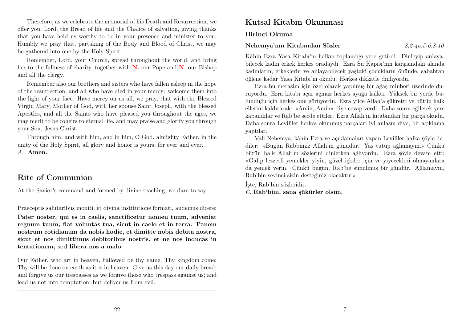Therefore, as we celebrate the memorial of his Death and Resurrection, we offer you, Lord, the Bread of life and the Chalice of salvation, giving thanks that you have held us worthy to be in your presence and minister to you. Humbly we pray that, partaking of the Body and Blood of Christ, we may be gathered into one by the Holy Spirit.

Remember, Lord, your Church, spread throughout the world, and bring her to the fullness of charity, together with  $N$ , our Pope and  $N$ , our Bishop and all the clergy.

Remember also our brothers and sisters who have fallen asleep in the hope of the resurrection, and all who have died in your mercy: welcome them into the light of your face. Have mercy on us all, we pray, that with the Blessed Virgin Mary, Mother of God, with her spouse Saint Joseph, with the blessed Apostles, and all the Saints who have pleased you throughout the ages, we may merit to be coheirs to eternal life, and may praise and glorify you through your Son, Jesus Christ.

Through him, and with him, and in him, O God, almighty Father, in the unity of the Holy Spirit, all glory and honor is yours, for ever and ever. A. Amen.

# Rite of Communion

At the Savior's command and formed by divine teaching, we dare to say:

Praeceptis salutaribus moniti, et divina institutione formati, audemus dicere:

Pater noster, qui es in caelis, sanctificetur nomen tuum, adveniat regnum tuum, fiat voluntas tua, sicut in caelo et in terra. Panem nostrum cotidianum da nobis hodie, et dimitte nobis debita nostra, sicut et nos dimittimus debitoribus nostris, et ne nos inducas in tentationem, sed libera nos a malo.

Our Father, who art in heaven, hallowed be thy name; Thy kingdom come; Thy will be done on earth as it is in heaven. Give us this day our daily bread; and forgive us our trespasses as we forgive those who trespass against us; and lead us not into temptation, but deliver us from evil.

## Kutsal Kitabın Okunması

Birinci Okuma

#### Nehemya'nın Kitabından Sözler 8,2-4a.5-6.8-10

Kâhin Ezra Yasa Kitabı'nı halkın toplandığı yere getirdi. Dinleyip anlayabilecek kadın erkek herkes oradaydı. Ezra Su Kapısı'nın karşısındaki alanda kadınların, erkeklerin ve anlayabilecek yaştaki çocukların önünde, sabahtan öğlene kadar Yasa Kitabı'nı okudu. Herkes dikkatle dinliyordu.

Ezra bu merasim için özel olarak yapılmış bir ağaç minberi üzerinde duruyordu. Ezra kitabı açar açmaz herkes ayağa kalktı. Yüksek bir yerde bulunduğu için herkes onu görüyordu. Ezra yüce Allah'a şükretti ve bütün halk ellerini kaldırarak: «Amin, Amin» diye cevap verdi. Daha sonra eğilerek yere kapandılar ve Rab'be secde ettiler. Ezra Allah'ın kitabından bir parça okudu. Daha sonra Levililer herkes okunmuş parçaları iyi anlasın diye, bir açıklama yaptılar.

Vali Nehemya, kâhin Ezra ve açıklamaları yapan Levililer halka şöyle dediler: «Bugün Rabbimiz Allah'ın günüdür. Yas tutup ağlamayın.» Çünkü bütün halk Allah'ın sözlerini dinlerken ağlıyordu. Ezra şöyle devam etti: «Gidip lezzetli yemekler yiyin, güzel içkiler için ve yiyecekleri olmayanlara da yemek verin. Çünkü bugün, Rab'be sunulmuş bir gündür. Ağlamayın, Rab'bin sevinci sizin desteğiniz olacaktır.»

İşte, Rab'bin sözleridir.

C. Rab'bim, sana şükürler olsun.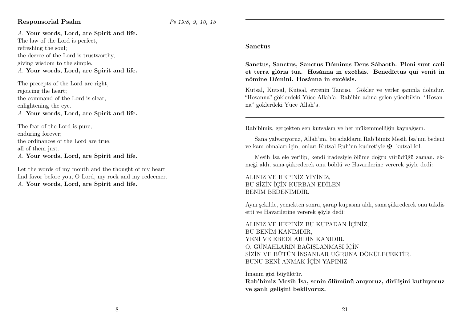#### Responsorial Psalm Psalm Ps 19:8, 9, 10, 15

A. Your words, Lord, are Spirit and life. The law of the Lord is perfect, refreshing the soul; the decree of the Lord is trustworthy, giving wisdom to the simple. A. Your words, Lord, are Spirit and life.

The precepts of the Lord are right, rejoicing the heart; the command of the Lord is clear, enlightening the eye. A. Your words, Lord, are Spirit and life.

The fear of the Lord is pure, enduring forever; the ordinances of the Lord are true, all of them just. A. Your words, Lord, are Spirit and life.

Let the words of my mouth and the thought of my heart find favor before you, O Lord, my rock and my redeemer. A. Your words, Lord, are Spirit and life.

#### Sanctus

Sanctus, Sanctus, Sanctus Dóminus Deus Sábaoth. Pleni sunt cæli et terra glória tua. Hosánna in excélsis. Benedíctus qui venit in nómine Dómini. Hosánna in excélsis.

Kutsal, Kutsal, Kutsal, evrenin Tanrısı. Gökler ve yerler şanınla doludur. "Hosanna" göklerdeki Yüce Allah'a. Rab'bin adına gelen yüceltilsin. "Hosanna" göklerdeki Yüce Allah'a.

Rab'bimiz, gerçekten sen kutsalsın ve her mükemmelliğin kaynağısın.

Sana yalvarıyoruz, Allah'ım, bu adakların Rab'bimiz Mesih İsa'nın bedeni ve kanı olmaları için, onları Kutsal Ruh'un kudretiyle  $\mathbf{\Psi}$  kutsal kıl.

Mesih İsa ele verilip, kendi iradesiyle ölüme doğru yürüdüğü zaman, ekmeği aldı, sana şükrederek onu böldü ve Havarilerine vererek şöyle dedi:

ALINIZ VE HEPİNİZ YİYİNİZ, BU SİZİN İÇİN KURBAN EDİLEN BENİM BEDENİMDİR.

Aynı şekilde, yemekten sonra, şarap kupasını aldı, sana şükrederek onu takdis etti ve Havarilerine vererek şöyle dedi:

ALINIZ VE HEPİNİZ BU KUPADAN İÇİNİZ, BU BENİM KANIMDIR, YENİ VE EBEDİ AHDİN KANIDIR. O, GÜNAHLARIN BAĞIŞLANMASI İÇİN SİZİN VE BÜTÜN İNSANLAR UĞRUNA DÖKÜLECEKTİR. BUNU BENİ ANMAK İÇİN YAPINIZ.

İmanın gizi büyüktür.

Rab'bimiz Mesih İsa, senin ölümünü anıyoruz, dirilişini kutluyoruz ve şanlı gelişini bekliyoruz.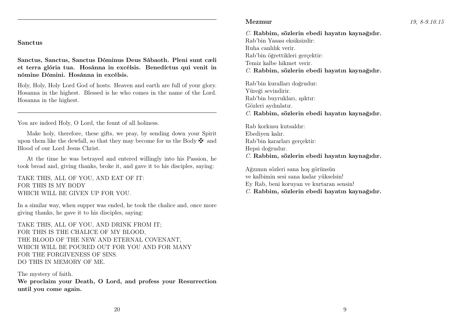#### Sanctus

Sanctus, Sanctus, Sanctus Dóminus Deus Sábaoth. Pleni sunt cæli et terra glória tua. Hosánna in excélsis. Benedíctus qui venit in nómine Dómini. Hosánna in excélsis.

Holy, Holy, Holy Lord God of hosts. Heaven and earth are full of your glory. Hosanna in the highest. Blessed is he who comes in the name of the Lord. Hosanna in the highest.

You are indeed Holy, O Lord, the fount of all holiness.

Make holy, therefore, these gifts, we pray, by sending down your Spirit upon them like the dewfall, so that they may become for us the Body  $\mathbf{\mathbf{\mathbf{\mathsf{F}}}}$  and Blood of our Lord Jesus Christ.

At the time he was betrayed and entered willingly into his Passion, he took bread and, giving thanks, broke it, and gave it to his disciples, saying:

TAKE THIS, ALL OF YOU, AND EAT OF IT: FOR THIS IS MY BODY WHICH WILL BE GIVEN UP FOR YOU.

In a similar way, when supper was ended, he took the chalice and, once more giving thanks, he gave it to his disciples, saying:

TAKE THIS, ALL OF YOU, AND DRINK FROM IT; FOR THIS IS THE CHALICE OF MY BLOOD, THE BLOOD OF THE NEW AND ETERNAL COVENANT, WHICH WILL BE POURED OUT FOR YOU AND FOR MANY FOR THE FORGIVENESS OF SINS. DO THIS IN MEMORY OF ME.

The mystery of faith. We proclaim your Death, O Lord, and profess your Resurrection until you come again.

C. Rabbim, sözlerin ebedi hayatın kaynağıdır. Rab'bin Yasası eksiksizdir: Ruha canlılık verir. Rab'bin öğrettikleri gerçektir: Temiz kalbe hikmet verir. C. Rabbim, sözlerin ebedi hayatın kaynağıdır.

Rab'bin kuralları doğrudur: Yüreği sevindirir. Rab'bin buyrukları, ışıktır: Gözleri aydınlatır. C. Rabbim, sözlerin ebedi hayatın kaynağıdır.

Rab korkusu kutsaldır: Ebediyen kalır. Rab'bin kararları gerçektir: Hepsi doğrudur. C. Rabbim, sözlerin ebedi hayatın kaynağıdır.

Ağzımın sözleri sana hoş görünsün ve kalbimin sesi sana kadar yükselsin! Ey Rab, beni koruyan ve kurtaran sensin! C. Rabbim, sözlerin ebedi hayatın kaynağıdır.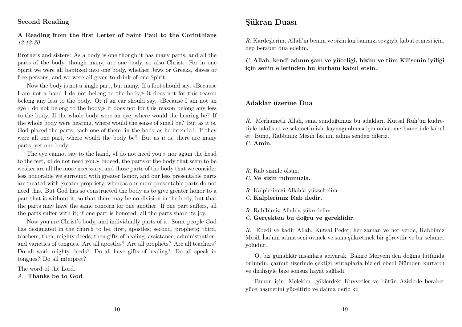## Second Reading

#### A Reading from the first Letter of Saint Paul to the Corinthians 12:12-30

Brothers and sisters: As a body is one though it has many parts, and all the parts of the body, though many, are one body, so also Christ. For in one Spirit we were all baptized into one body, whether Jews or Greeks, slaves or free persons, and we were all given to drink of one Spirit.

Now the body is not a single part, but many. If a foot should say, «Because I am not a hand I do not belong to the body,» it does not for this reason belong any less to the body. Or if an ear should say, «Because I am not an eye I do not belong to the body,» it does not for this reason belong any less to the body. If the whole body were an eye, where would the hearing be? If the whole body were hearing, where would the sense of smell be? But as it is, God placed the parts, each one of them, in the body as he intended. If they were all one part, where would the body be? But as it is, there are many parts, yet one body.

The eye cannot say to the hand, «I do not need you,» nor again the head to the feet, «I do not need you.» Indeed, the parts of the body that seem to be weaker are all the more necessary, and those parts of the body that we consider less honorable we surround with greater honor, and our less presentable parts are treated with greater propriety, whereas our more presentable parts do not need this. But God has so constructed the body as to give greater honor to a part that is without it, so that there may be no division in the body, but that the parts may have the same concern for one another. If one part suffers, all the parts suffer with it; if one part is honored, all the parts share its joy.

Now you are Christ's body, and individually parts of it. Some people God has designated in the church to be, first, apostles; second, prophets; third, teachers; then, mighty deeds; then gifts of healing, assistance, administration, and varieties of tongues. Are all apostles? Are all prophets? Are all teachers? Do all work mighty deeds? Do all have gifts of healing? Do all speak in tongues? Do all interpret?

The word of the Lord.

A. Thanks be to God

## Şükran Duası

R. Kardeşlerim, Allah'ın benim ve sizin kurbanınızı sevgiyle kabul etmesi için, hep beraber dua edelim.

C. Allah, kendi adının şanı ve yüceliği, bizim ve tüm Kilisenin iyiliği için senin ellerinden bu kurbanı kabul etsin.

#### Adaklar üzerine Dua

R. Merhametli Allah, sana sunduğumuz bu adakları, Kutsal Ruh'un kudretiyle takdis et ve selametimizin kaynağı olması için onları merhametinle kabul et. Bunu, Rabbimiz Mesih İsa'nın adına senden dileriz.

C. Amin.

- R. Rab sizinle olsun.
- C. Ve sizin ruhunuzla.
- R. Kalplerimizi Allah'a yükseltelim.
- C. Kalplerimiz Rab iledir.

R. Rab'bimiz Allah'a şükredelim.

C. Gerçekten bu doğru ve gereklidir.

R. Ebedi ve kadir Allah, Kutsal Peder, her zaman ve her yerde, Rabbimiz Mesih İsa'nın adına seni övmek ve sana şükretmek bir görevdir ve bir selamet yoludur.

O, biz günahkâr insanlara acıyarak, Bakire Meryem'den doğma lütfunda bulundu, çarmıh üzerinde çektiği ıstıraplarla bizleri ebedi ölümden kurtardı ve dirilişiyle bize sonsuz hayat sağladı.

Bunun için, Melekler, göklerdeki Kuvvetler ve bütün Azizlerle beraber yüce haşmetini yüceltiriz ve daima deriz ki: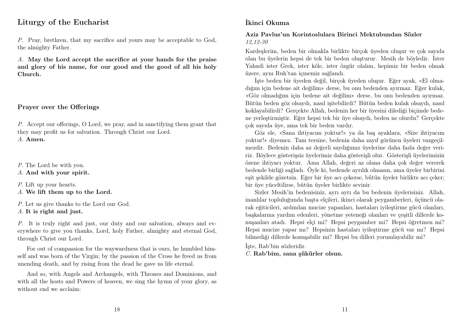# Liturgy of the Eucharist

P. Pray, brethren, that my sacrifice and yours may be acceptable to God, the almighty Father.

A. May the Lord accept the sacrifice at your hands for the praise and glory of his name, for our good and the good of all his holy Church.

#### Prayer over the Offerings

P. Accept our offerings, O Lord, we pray, and in sanctifying them grant that they may profit us for salvation. Through Christ our Lord. A. Amen.

P. The Lord be with you.

A. And with your spirit.

P. Lift up your hearts. A. We lift them up to the Lord.

P. Let us give thanks to the Lord our God. A. It is right and just.

P. It is truly right and just, our duty and our salvation, always and everywhere to give you thanks, Lord, holy Father, almighty and eternal God, through Christ our Lord.

For out of compassion for the waywardness that is ours, he humbled himself and was born of the Virgin; by the passion of the Cross he freed us from unending death, and by rising from the dead he gave us life eternal.

And so, with Angels and Archangels, with Thrones and Dominions, and with all the hosts and Powers of heaven, we sing the hymn of your glory, as without end we acclaim:

## İkinci Okuma

Aziz Pavlus'un Korintoslulara Birinci Mektubundan Sözler 12,12-30

Kardeşlerim, beden bir olmakla birlikte birçok üyeden oluşur ve çok sayıda olan bu üyelerin hepsi de tek bir beden oluşturur. Mesih de böyledir. İster Yahudi ister Grek, ister köle, ister özgür olalım, hepimiz bir beden olmak üzere, aynı Ruh'tan içmemiz sağlandı.

İşte beden bir üyeden değil, birçok üyeden oluşur. Eğer ayak, «El olmadığım için bedene ait değilim» derse, bu onu bedenden ayırmaz. Eğer kulak, «Göz olmadığım için bedene ait değilim» derse, bu onu bedenden ayırmaz. Bütün beden göz olsaydı, nasıl işitebilirdi? Bütün beden kulak olsaydı, nasıl koklayabilirdi? Gerçekte Allah, bedenin her bir üyesini dilediği biçimde bedene yerleştirmiştir. Eğer hepsi tek bir üye olsaydı, beden ne olurdu? Gerçekte çok sayıda üye, ama tek bir beden vardır.

Göz ele, «Sana ihtiyacım yoktur!» ya da baş ayaklara, «Size ihtiyacım yoktur!» diyemez. Tam tersine, bedenin daha zayıf görünen üyeleri vazgeçilmezdir. Bedenin daha az değerli saydığımız üyelerine daha fazla değer veririz. Böylece gösterişsiz üyelerimiz daha gösterişli olur. Gösterişli üyelerimizin özene ihtiyacı yoktur. Ama Allah, değeri az olana daha çok değer vererek bedende birliği sağladı. Öyle ki, bedende ayrılık olmasın, ama üyeler birbirini eşit şekilde gözetsin. Eğer bir üye acı çekerse, bütün üyeler birlikte acı çeker; bir üye yüceltilirse, bütün üyeler birlikte sevinir.

Sizler Mesih'in bedenisiniz, ayrı ayrı da bu bedenin üyelerisiniz. Allah, inanlılar topluluğunda başta elçileri, ikinci olarak peygamberleri, üçüncü olarak eğiticileri, ardından mucize yapanları, hastaları iyileştirme gücü olanları, başkalarına yardım edenleri, yönetme yeteneği olanları ve çeşitli dillerde konuşanları atadı. Hepsi elçi mi? Hepsi peygamber mi? Hepsi öğretmen mi? Hepsi mucize yapar mı? Hepsinin hastaları iyileştirme gücü var mı? Hepsi bilmediği dillerde konuşabilir mi? Hepsi bu dilleri yorumlayabilir mi?

İşte, Rab'bin sözleridir.

C. Rab'bim, sana şükürler olsun.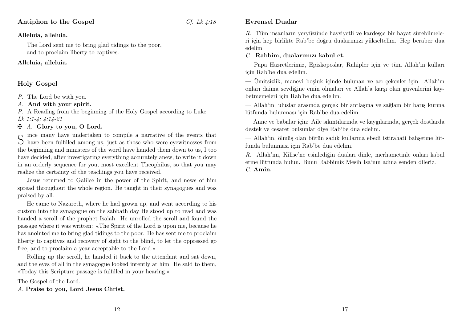A. Praise to you, Lord Jesus Christ.

Antiphon to the Gospel Cf. Lk 4:18

## Alleluia, alleluia.

The Lord sent me to bring glad tidings to the poor, and to proclaim liberty to captives.

#### Alleluia, alleluia.

## Holy Gospel

P. The Lord be with you.

A. And with your spirit.

P. A Reading from the beginning of the Holy Gospel according to Luke Lk 1:1-4; 4:14-21

 $\mathbf{\ddot{A}}$ . Glory to you, O Lord.

S ince many have undertaken to compile a narrative of the events that S have been fulfilled among us, just as those who were eyewitnesses from ince many have undertaken to compile a narrative of the events that the beginning and ministers of the word have handed them down to us, I too have decided, after investigating everything accurately anew, to write it down in an orderly sequence for you, most excellent Theophilus, so that you may realize the certainty of the teachings you have received.

Jesus returned to Galilee in the power of the Spirit, and news of him spread throughout the whole region. He taught in their synagogues and was praised by all.

He came to Nazareth, where he had grown up, and went according to his custom into the synagogue on the sabbath day He stood up to read and was handed a scroll of the prophet Isaiah. He unrolled the scroll and found the passage where it was written: «The Spirit of the Lord is upon me, because he has anointed me to bring glad tidings to the poor. He has sent me to proclaim liberty to captives and recovery of sight to the blind, to let the oppressed go free, and to proclaim a year acceptable to the Lord.»

Rolling up the scroll, he handed it back to the attendant and sat down, and the eyes of all in the synagogue looked intently at him. He said to them, «Today this Scripture passage is fulfilled in your hearing.»

The Gospel of the Lord.

## Evrensel Dualar

R. Tüm insanların yeryüzünde haysiyetli ve kardeşçe bir hayat sürebilmeleri için hep birlikte Rab'be doğru dualarımızı yükseltelim. Hep beraber dua edelim:

#### C. Rabbim, dualarımızı kabul et.

— Papa Hazretlerimiz, Episkoposlar, Rahipler için ve tüm Allah'ın kulları için Rab'be dua edelim.

— Ümitsizlik, manevi boşluk içinde bulunan ve acı çekenler için: Allah'ın onları daima sevdiğine emin olmaları ve Allah'a karşı olan güvenlerini kaybetmemeleri için Rab'be dua edelim.

— Allah'ın, uluslar arasında gerçek bir antlaşma ve sağlam bir barış kurma lütfunda bulunması için Rab'be dua edelim.

— Anne ve babalar için: Aile sıkıntılarında ve kaygılarında, gerçek dostlarda destek ve cesaret bulsunlar diye Rab'be dua edelim.

— Allah'ın, ölmüş olan bütün sadık kullarına ebedi istirahati bahşetme lütfunda bulunması için Rab'be dua edelim.

R. Allah'ım, Kilise'ne esinlediğin duaları dinle, merhametinle onları kabul etme lütfunda bulun. Bunu Rabbimiz Mesih İsa'nın adına senden dileriz.  $C$  Amin.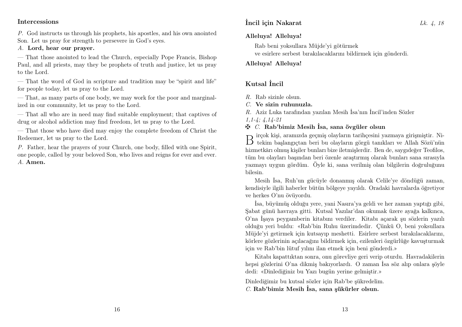#### Intercessions

P. God instructs us through his prophets, his apostles, and his own anointed Son. Let us pray for strength to persevere in God's eyes.

A. Lord, hear our prayer.

— That those anointed to lead the Church, especially Pope Francis, Bishop Paul, and all priests, may they be prophets of truth and justice, let us pray to the Lord.

— That the word of God in scripture and tradition may be "spirit and life" for people today, let us pray to the Lord.

— That, as many parts of one body, we may work for the poor and marginalized in our community, let us pray to the Lord.

— That all who are in need may find suitable employment; that captives of drug or alcohol addiction may find freedom, let us pray to the Lord.

— That those who have died may enjoy the complete freedom of Christ the Redeemer, let us pray to the Lord.

P. Father, hear the prayers of your Church, one body, filled with one Spirit, one people, called by your beloved Son, who lives and reigns for ever and ever. A. Amen.

#### Alleluya! Alleluya!

Rab beni yoksullara Müjde'yi götürmek ve esirlere serbest bırakılacaklarını bildirmek için gönderdi.

Alleluya! Alleluya!

# Kutsal İncil

- R. Rab sizinle olsun.
- C. Ve sizin ruhunuzla.

R. Aziz Luka tarafından yazılan Mesih İsa'nın İncil'inden Sözler

1,1-4; 4,14-21

 $\mathbf{\Phi}$  C. Rab'bimiz Mesih İsa, sana övgüler olsun

 $\rm B$ irçok kişi, aramızda geçmiş olayların tarihçesini yazmaya girişmiştir. Ni-tekim başlangıçtan beri bu olayların görgü tanıkları ve Allah Sözü'nün tekim başlangıçtan beri bu olayların görgü tanıkları ve Allah Sözü'nün hizmetkârı olmuş kişiler bunları bize iletmişlerdir. Ben de, saygıdeğer Teofilos, tüm bu olayları başından beri özenle araştırmış olarak bunları sana sırasıyla yazmayı uygun gördüm. Öyle ki, sana verilmiş olan bilgilerin doğruluğunu bilesin.

Mesih İsa, Ruh'un gücüyle donanmış olarak Celile'ye döndüğü zaman, kendisiyle ilgili haberler bütün bölgeye yayıldı. Oradaki havralarda öğretiyor ve herkes O'nu övüyordu.

İsa, büyümüş olduğu yere, yani Nasıra'ya geldi ve her zaman yaptığı gibi, Şabat günü havraya gitti. Kutsal Yazılar'dan okumak üzere ayağa kalkınca, O'na İşaya peygamberin kitabını verdiler. Kitabı açarak şu sözlerin yazılı olduğu yeri buldu: «Rab'bin Ruhu üzerimdedir. Çünkü O, beni yoksullara Müjde'yi getirmek için kutsayıp meshetti. Esirlere serbest bırakılacaklarını, körlere gözlerinin açılacağını bildirmek için, ezilenleri özgürlüğe kavuşturmak için ve Rab'bin lütuf yılını ilan etmek için beni gönderdi.»

Kitabı kapattıktan sonra, onu görevliye geri verip oturdu. Havradakilerin hepsi gözlerini O'na dikmiş bakıyorlardı. O zaman İsa söz alıp onlara şöyle dedi: «Dinlediğiniz bu Yazı bugün yerine gelmiştir.»

Dinlediğimiz bu kutsal sözler için Rab'be şükredelim. C. Rab'bimiz Mesih İsa, sana şükürler olsun.